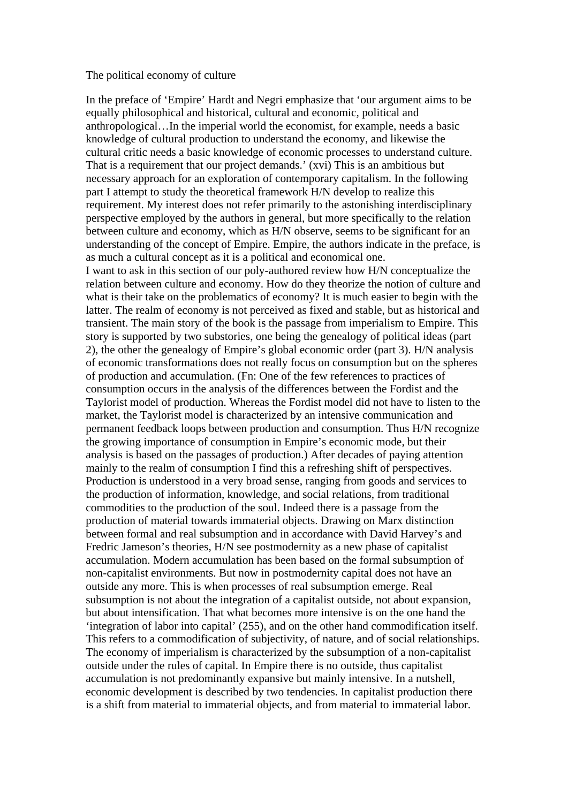## The political economy of culture

In the preface of 'Empire' Hardt and Negri emphasize that 'our argument aims to be equally philosophical and historical, cultural and economic, political and anthropological…In the imperial world the economist, for example, needs a basic knowledge of cultural production to understand the economy, and likewise the cultural critic needs a basic knowledge of economic processes to understand culture. That is a requirement that our project demands.' (xvi) This is an ambitious but necessary approach for an exploration of contemporary capitalism. In the following part I attempt to study the theoretical framework H/N develop to realize this requirement. My interest does not refer primarily to the astonishing interdisciplinary perspective employed by the authors in general, but more specifically to the relation between culture and economy, which as H/N observe, seems to be significant for an understanding of the concept of Empire. Empire, the authors indicate in the preface, is as much a cultural concept as it is a political and economical one. I want to ask in this section of our poly-authored review how H/N conceptualize the relation between culture and economy. How do they theorize the notion of culture and what is their take on the problematics of economy? It is much easier to begin with the latter. The realm of economy is not perceived as fixed and stable, but as historical and transient. The main story of the book is the passage from imperialism to Empire. This story is supported by two substories, one being the genealogy of political ideas (part 2), the other the genealogy of Empire's global economic order (part 3). H/N analysis of economic transformations does not really focus on consumption but on the spheres of production and accumulation. (Fn: One of the few references to practices of consumption occurs in the analysis of the differences between the Fordist and the Taylorist model of production. Whereas the Fordist model did not have to listen to the market, the Taylorist model is characterized by an intensive communication and permanent feedback loops between production and consumption. Thus H/N recognize the growing importance of consumption in Empire's economic mode, but their analysis is based on the passages of production.) After decades of paying attention mainly to the realm of consumption I find this a refreshing shift of perspectives. Production is understood in a very broad sense, ranging from goods and services to the production of information, knowledge, and social relations, from traditional commodities to the production of the soul. Indeed there is a passage from the production of material towards immaterial objects. Drawing on Marx distinction between formal and real subsumption and in accordance with David Harvey's and Fredric Jameson's theories, H/N see postmodernity as a new phase of capitalist accumulation. Modern accumulation has been based on the formal subsumption of non-capitalist environments. But now in postmodernity capital does not have an outside any more. This is when processes of real subsumption emerge. Real subsumption is not about the integration of a capitalist outside, not about expansion, but about intensification. That what becomes more intensive is on the one hand the 'integration of labor into capital' (255), and on the other hand commodification itself. This refers to a commodification of subjectivity, of nature, and of social relationships. The economy of imperialism is characterized by the subsumption of a non-capitalist outside under the rules of capital. In Empire there is no outside, thus capitalist accumulation is not predominantly expansive but mainly intensive. In a nutshell, economic development is described by two tendencies. In capitalist production there is a shift from material to immaterial objects, and from material to immaterial labor.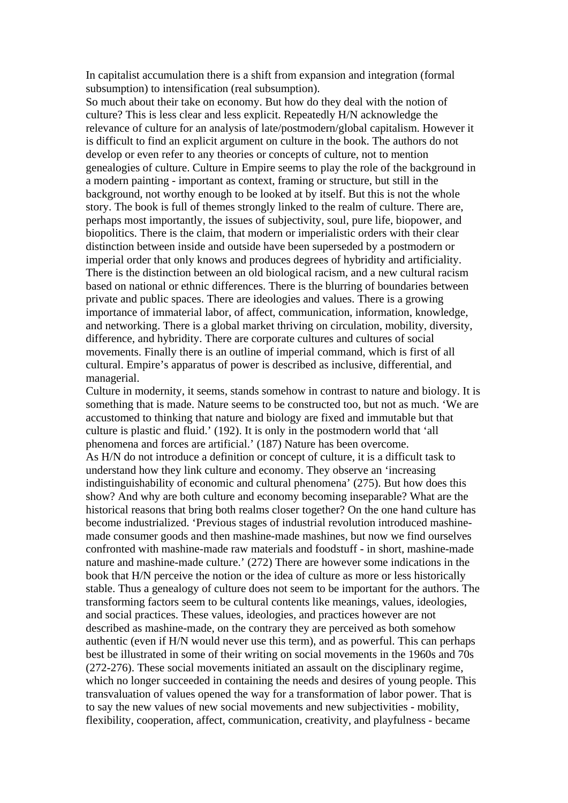In capitalist accumulation there is a shift from expansion and integration (formal subsumption) to intensification (real subsumption).

So much about their take on economy. But how do they deal with the notion of culture? This is less clear and less explicit. Repeatedly H/N acknowledge the relevance of culture for an analysis of late/postmodern/global capitalism. However it is difficult to find an explicit argument on culture in the book. The authors do not develop or even refer to any theories or concepts of culture, not to mention genealogies of culture. Culture in Empire seems to play the role of the background in a modern painting - important as context, framing or structure, but still in the background, not worthy enough to be looked at by itself. But this is not the whole story. The book is full of themes strongly linked to the realm of culture. There are, perhaps most importantly, the issues of subjectivity, soul, pure life, biopower, and biopolitics. There is the claim, that modern or imperialistic orders with their clear distinction between inside and outside have been superseded by a postmodern or imperial order that only knows and produces degrees of hybridity and artificiality. There is the distinction between an old biological racism, and a new cultural racism based on national or ethnic differences. There is the blurring of boundaries between private and public spaces. There are ideologies and values. There is a growing importance of immaterial labor, of affect, communication, information, knowledge, and networking. There is a global market thriving on circulation, mobility, diversity, difference, and hybridity. There are corporate cultures and cultures of social movements. Finally there is an outline of imperial command, which is first of all cultural. Empire's apparatus of power is described as inclusive, differential, and managerial.

Culture in modernity, it seems, stands somehow in contrast to nature and biology. It is something that is made. Nature seems to be constructed too, but not as much. 'We are accustomed to thinking that nature and biology are fixed and immutable but that culture is plastic and fluid.' (192). It is only in the postmodern world that 'all phenomena and forces are artificial.' (187) Nature has been overcome. As H/N do not introduce a definition or concept of culture, it is a difficult task to understand how they link culture and economy. They observe an 'increasing indistinguishability of economic and cultural phenomena' (275). But how does this show? And why are both culture and economy becoming inseparable? What are the historical reasons that bring both realms closer together? On the one hand culture has become industrialized. 'Previous stages of industrial revolution introduced mashinemade consumer goods and then mashine-made mashines, but now we find ourselves confronted with mashine-made raw materials and foodstuff - in short, mashine-made nature and mashine-made culture.' (272) There are however some indications in the book that H/N perceive the notion or the idea of culture as more or less historically stable. Thus a genealogy of culture does not seem to be important for the authors. The transforming factors seem to be cultural contents like meanings, values, ideologies, and social practices. These values, ideologies, and practices however are not described as mashine-made, on the contrary they are perceived as both somehow authentic (even if H/N would never use this term), and as powerful. This can perhaps best be illustrated in some of their writing on social movements in the 1960s and 70s (272-276). These social movements initiated an assault on the disciplinary regime, which no longer succeeded in containing the needs and desires of young people. This transvaluation of values opened the way for a transformation of labor power. That is to say the new values of new social movements and new subjectivities - mobility, flexibility, cooperation, affect, communication, creativity, and playfulness - became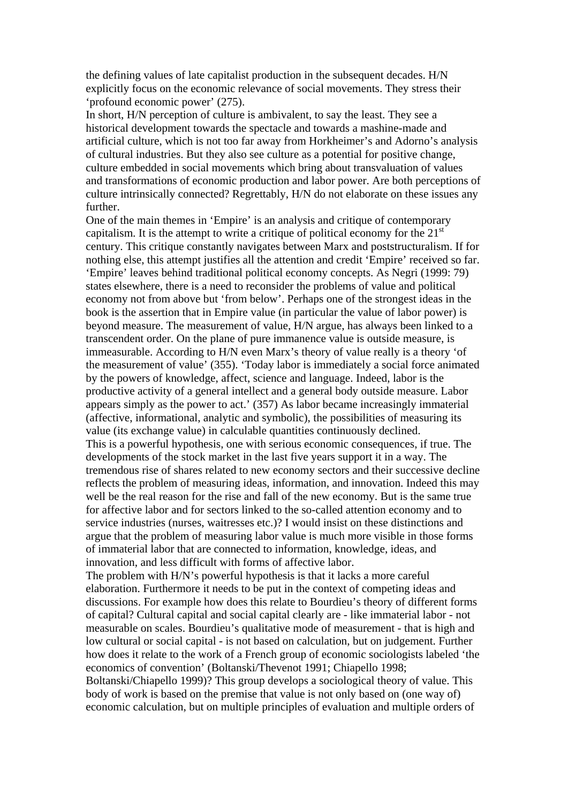the defining values of late capitalist production in the subsequent decades. H/N explicitly focus on the economic relevance of social movements. They stress their 'profound economic power' (275).

In short, H/N perception of culture is ambivalent, to say the least. They see a historical development towards the spectacle and towards a mashine-made and artificial culture, which is not too far away from Horkheimer's and Adorno's analysis of cultural industries. But they also see culture as a potential for positive change, culture embedded in social movements which bring about transvaluation of values and transformations of economic production and labor power. Are both perceptions of culture intrinsically connected? Regrettably, H/N do not elaborate on these issues any further.

One of the main themes in 'Empire' is an analysis and critique of contemporary capitalism. It is the attempt to write a critique of political economy for the  $21<sup>st</sup>$ century. This critique constantly navigates between Marx and poststructuralism. If for nothing else, this attempt justifies all the attention and credit 'Empire' received so far. 'Empire' leaves behind traditional political economy concepts. As Negri (1999: 79) states elsewhere, there is a need to reconsider the problems of value and political economy not from above but 'from below'. Perhaps one of the strongest ideas in the book is the assertion that in Empire value (in particular the value of labor power) is beyond measure. The measurement of value, H/N argue, has always been linked to a transcendent order. On the plane of pure immanence value is outside measure, is immeasurable. According to H/N even Marx's theory of value really is a theory 'of the measurement of value' (355). 'Today labor is immediately a social force animated by the powers of knowledge, affect, science and language. Indeed, labor is the productive activity of a general intellect and a general body outside measure. Labor appears simply as the power to act.' (357) As labor became increasingly immaterial (affective, informational, analytic and symbolic), the possibilities of measuring its value (its exchange value) in calculable quantities continuously declined. This is a powerful hypothesis, one with serious economic consequences, if true. The developments of the stock market in the last five years support it in a way. The tremendous rise of shares related to new economy sectors and their successive decline reflects the problem of measuring ideas, information, and innovation. Indeed this may well be the real reason for the rise and fall of the new economy. But is the same true for affective labor and for sectors linked to the so-called attention economy and to service industries (nurses, waitresses etc.)? I would insist on these distinctions and argue that the problem of measuring labor value is much more visible in those forms of immaterial labor that are connected to information, knowledge, ideas, and innovation, and less difficult with forms of affective labor.

The problem with H/N's powerful hypothesis is that it lacks a more careful elaboration. Furthermore it needs to be put in the context of competing ideas and discussions. For example how does this relate to Bourdieu's theory of different forms of capital? Cultural capital and social capital clearly are - like immaterial labor - not measurable on scales. Bourdieu's qualitative mode of measurement - that is high and low cultural or social capital - is not based on calculation, but on judgement. Further how does it relate to the work of a French group of economic sociologists labeled 'the economics of convention' (Boltanski/Thevenot 1991; Chiapello 1998;

Boltanski/Chiapello 1999)? This group develops a sociological theory of value. This body of work is based on the premise that value is not only based on (one way of) economic calculation, but on multiple principles of evaluation and multiple orders of